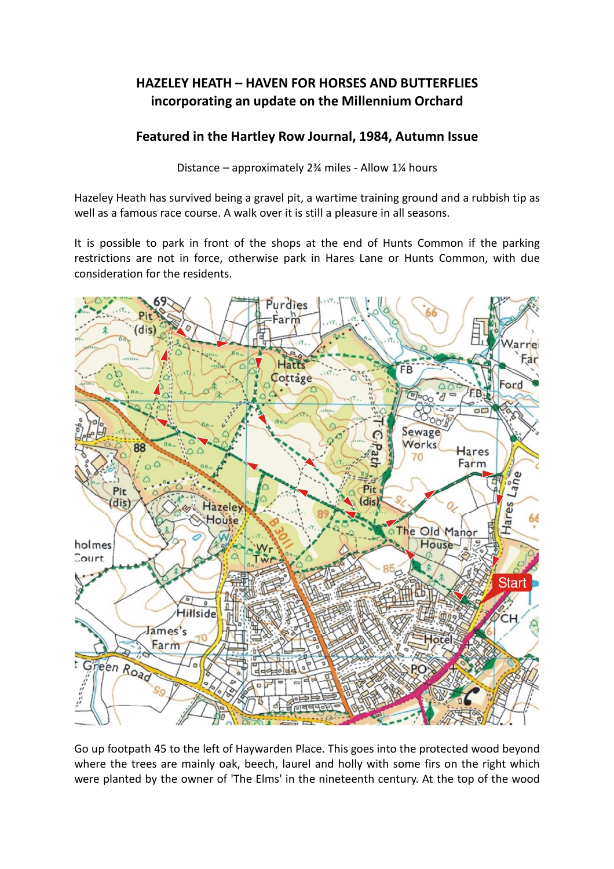## HAZELEY HEATH – HAVEN FOR HORSES AND BUTTERFLIES incorporating an update on the Millennium Orchard

## Featured in the Hartley Row Journal, 1984, Autumn Issue

Distance – approximately 2¾ miles - Allow 1¼ hours

Hazeley Heath has survived being a gravel pit, a wartime training ground and a rubbish tip as well as a famous race course. A walk over it is still a pleasure in all seasons.

It is possible to park in front of the shops at the end of Hunts Common if the parking restrictions are not in force, otherwise park in Hares Lane or Hunts Common, with due consideration for the residents.



Go up footpath 45 to the left of Haywarden Place. This goes into the protected wood beyond where the trees are mainly oak, beech, laurel and holly with some firs on the right which were planted by the owner of 'The Elms' in the nineteenth century. At the top of the wood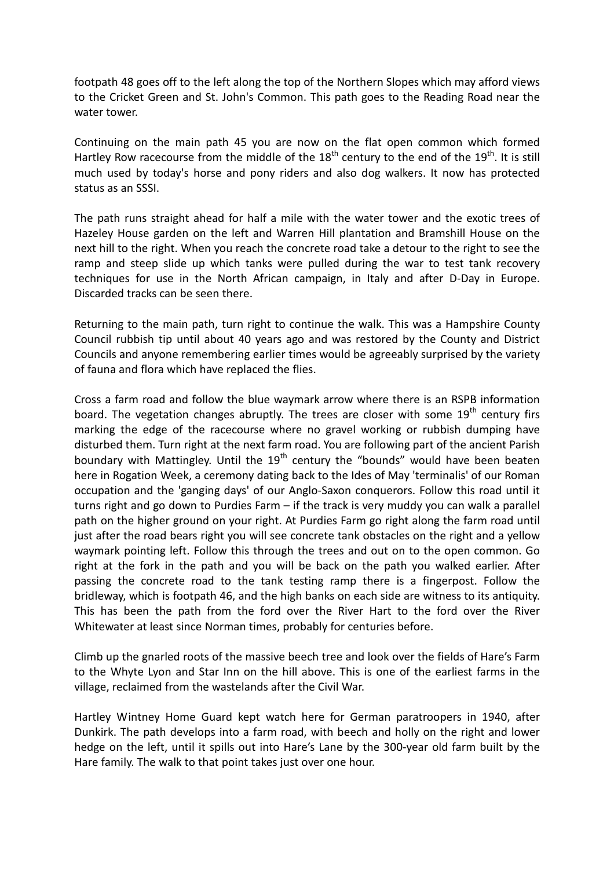footpath 48 goes off to the left along the top of the Northern Slopes which may afford views to the Cricket Green and St. John's Common. This path goes to the Reading Road near the water tower.

Continuing on the main path 45 you are now on the flat open common which formed Hartley Row racecourse from the middle of the 18<sup>th</sup> century to the end of the 19<sup>th</sup>. It is still much used by today's horse and pony riders and also dog walkers. It now has protected status as an SSSI.

The path runs straight ahead for half a mile with the water tower and the exotic trees of Hazeley House garden on the left and Warren Hill plantation and Bramshill House on the next hill to the right. When you reach the concrete road take a detour to the right to see the ramp and steep slide up which tanks were pulled during the war to test tank recovery techniques for use in the North African campaign, in Italy and after D-Day in Europe. Discarded tracks can be seen there.

Returning to the main path, turn right to continue the walk. This was a Hampshire County Council rubbish tip until about 40 years ago and was restored by the County and District Councils and anyone remembering earlier times would be agreeably surprised by the variety of fauna and flora which have replaced the flies.

Cross a farm road and follow the blue waymark arrow where there is an RSPB information board. The vegetation changes abruptly. The trees are closer with some  $19<sup>th</sup>$  century firs marking the edge of the racecourse where no gravel working or rubbish dumping have disturbed them. Turn right at the next farm road. You are following part of the ancient Parish boundary with Mattingley. Until the  $19<sup>th</sup>$  century the "bounds" would have been beaten here in Rogation Week, a ceremony dating back to the Ides of May 'terminalis' of our Roman occupation and the 'ganging days' of our Anglo-Saxon conquerors. Follow this road until it turns right and go down to Purdies Farm – if the track is very muddy you can walk a parallel path on the higher ground on your right. At Purdies Farm go right along the farm road until just after the road bears right you will see concrete tank obstacles on the right and a yellow waymark pointing left. Follow this through the trees and out on to the open common. Go right at the fork in the path and you will be back on the path you walked earlier. After passing the concrete road to the tank testing ramp there is a fingerpost. Follow the bridleway, which is footpath 46, and the high banks on each side are witness to its antiquity. This has been the path from the ford over the River Hart to the ford over the River Whitewater at least since Norman times, probably for centuries before.

Climb up the gnarled roots of the massive beech tree and look over the fields of Hare's Farm to the Whyte Lyon and Star Inn on the hill above. This is one of the earliest farms in the village, reclaimed from the wastelands after the Civil War.

Hartley Wintney Home Guard kept watch here for German paratroopers in 1940, after Dunkirk. The path develops into a farm road, with beech and holly on the right and lower hedge on the left, until it spills out into Hare's Lane by the 300-year old farm built by the Hare family. The walk to that point takes just over one hour.